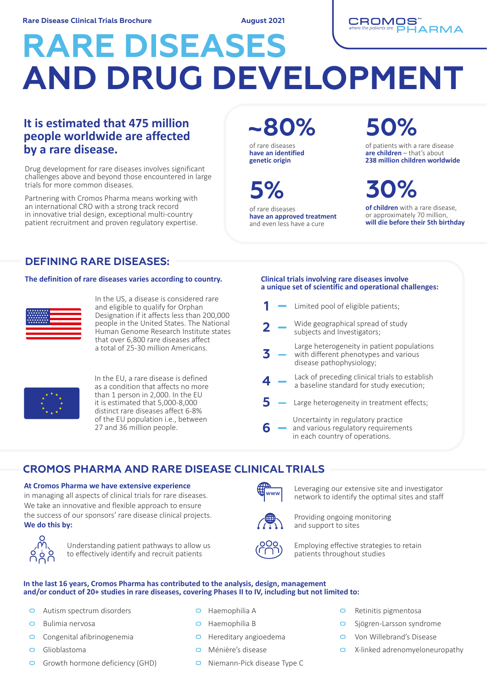**August 2021**



# **RARE DISEASES AND DRUG DEVELOPMENT**

### **It is estimated that 475 million people worldwide are affected by a rare disease.**

Drug development for rare diseases involves significant challenges above and beyond those encountered in large trials for more common diseases.

Partnering with Cromos Pharma means working with an international CRO with a strong track record in innovative trial design, exceptional multi-country patient recruitment and proven regulatory expertise. **~80% 50%**

of rare diseases **have an identified genetic origin**

of rare diseases **have an approved treatment** and even less have a cure

of patients with a rare disease **are children** – that's about **238 million children worldwide**

**of children** with a rare disease, or approximately 70 million, **5% 30%**

**will die before their 5th birthday**

**DEFINING RARE DISEASES:**

### **The definition of rare diseases varies according to country. Clinical trials involving rare diseases involve**



In the US, a disease is considered rare and eligible to qualify for Orphan Designation if it affects less than 200,000 people in the United States. The National .<br>Human Genome Research Institute states that over 6,800 rare diseases affect a total of 25-30 million Americans.



In the EU, a rare disease is defined as a condition that affects no more than 1 person in 2,000. In the EU it is estimated that 5,000-8,000 distinct rare diseases affect 6-8% of the EU population i.e., between 27 and 36 million people.

### **a unique set of scientific and operational challenges:**

|   | Limited pool of eligible patients;                                                                              |
|---|-----------------------------------------------------------------------------------------------------------------|
| 2 | Wide geographical spread of study<br>subjects and Investigators;                                                |
|   | Large heterogeneity in patient populations<br>with different phenotypes and various<br>disease pathophysiology; |
|   | Lack of preceding clinical trials to establish<br>a baseline standard for study execution;                      |
|   | Large heterogeneity in treatment effects;                                                                       |
|   | Uncertainty in regulatory practice<br>and various regulatory requirements<br>in each country of operations.     |

### **CROMOS PHARMA AND RARE DISEASE CLINICAL TRIALS**

### **At Cromos Pharma we have extensive experience**

in managing all aspects of clinical trials for rare diseases. We take an innovative and flexible approach to ensure the success of our sponsors' rare disease clinical projects. **We do this by:**



Understanding patient pathways to allow us to effectively identify and recruit patients

## **WWW**



Providing ongoing monitoring and support to sites



Employing effective strategies to retain patients throughout studies

Leveraging our extensive site and investigator network to identify the optimal sites and staff

#### **In the last 16 years, Cromos Pharma has contributed to the analysis, design, management and/or conduct of 20+ studies in rare diseases, covering Phases II to IV, including but not limited to:**

- Autism spectrum disorders  $\Box$
- $\Box$ Bulimia nervosa
- Congenital afibrinogenemia  $\Box$
- Glioblastoma  $\Box$
- Growth hormone deficiency (GHD)  $\Box$
- Haemophilia A
- Haemophilia B
- $\Box$  Hereditary angioedema
- Ménière's disease
- Niemann-Pick disease Type C
- $\Box$ Retinitis pigmentosa
- $\Box$ Sjögren-Larsson syndrome
- Von Willebrand's Disease  $\Box$
- X-linked adrenomyeloneuropathy  $\Box$